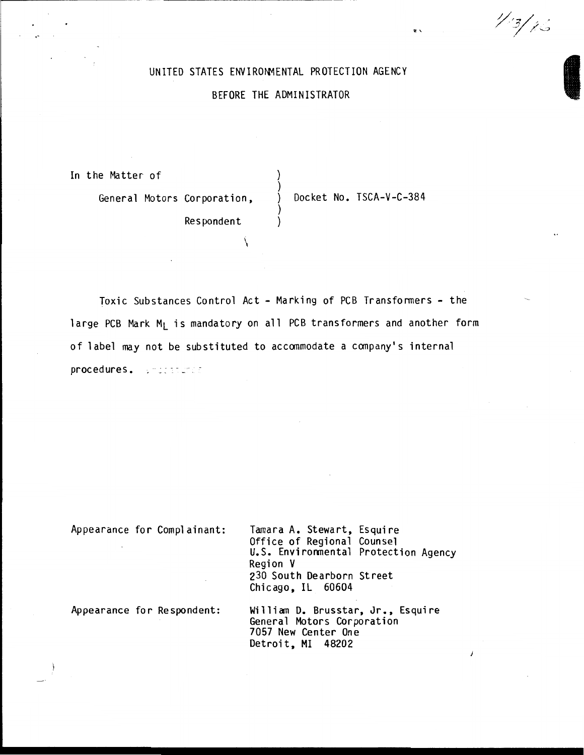# UNITED STATES ENVIRONMENTAL PROTECTION AGENCY

# BEFORE THE ADMINISTRATOR

)

)

In the Matter of

General Motors Corporation,  $\bigvee$  Docket No. TSCA-V-C-384

 $\ddot{\ }$ 

**Alla** 

1/3/76

**Respondent** 

\

Toxic Substances Control Act- Marking of PCB Transfonners- the large PCB Mark M<sub>I</sub> is mandatory on all PCB transformers and another form of label may not be substituted to accommodate a company's internal procedures. Interesting

Appearance for Complainant:

Tamara A. Stewart, Esquire Office of Regional Counsel U.S. Environmental Protection Agency Region V 230 South Dearborn Street Chicago, IL 60604

Appearance for Respondent:

William D. Brusstar, Jr., Esquire<br>General Motors Corporation<br>7057 New Center One Detroit, MI 48202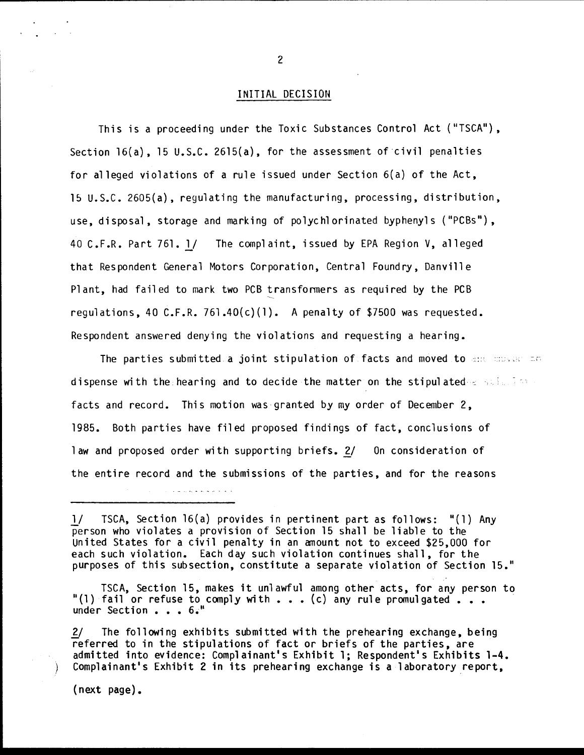## INITIAL DECISION

This is a proceeding under the Toxic Substances Control Act ("TSCA"), Section 16(a), 15 U.S.C. 2615(a), for the assessment of civil penalties for alleged violations of a rule issued under Section 6(a) of the Act, 15 U.S.C. 2605(a), regulating the manufacturing, processing, distribution, use, disposal, storage and marking of polychlorinated byphenyls ("PCBs"), 40 C.F.R. Part 76l.l/ The complaint, issued by EPA Region V, alleged that Respondent General Motors Corporation, Central Foundry, Danville Plant, had failed to mark two PCB transformers as required by the PCB requlations, 40 C.F.R. 761.40 $(c)(1)$ . A penalty of \$7500 was requested. Respondent answered denying the violations and requesting a hearing.

The parties submitted a joint stipulation of facts and moved to  $\sin$  moved and dispense with the hearing and to decide the matter on the stipulated as still for facts and record. This motion was granted by my order of December 2, 1985. Both parties have filed proposed findings of fact, conclusions of law and proposed order with supporting briefs. *1}* On consideration of the entire record and the submissions of the parties, and for the reasons

l/ TSCA, Section 16(a) provides in pertinent part as follows: "(1) Any person who violates a provision of Section 15 shall be liable to the United States for a civil penalty in an amount not to exceed \$25,000 for each such violation. Each day such violation continues shall, for the purposes of this subsection, constitute a separate violation of Section 15."

TSCA, Section 15, makes it unlawful among other acts, for any person to "(1) fail or refuse to comply with  $\cdot \cdot \cdot$  (c) any rule promulgated  $\cdot \cdot \cdot$ under Section . . . 6.<sup>8</sup>

2/ The following exhibits submitted with the prehearing exchange, being referred to in the stipulations of fact or briefs of the parties, are admitted into evidence: Complainant's Exhibit 1; Respondent's Exhibits 1-4. Complainant's Exhibit 2 in its prehearing exchange is a laboratory report,

(next page).

 $\mathcal{L}^{\mathcal{L}}$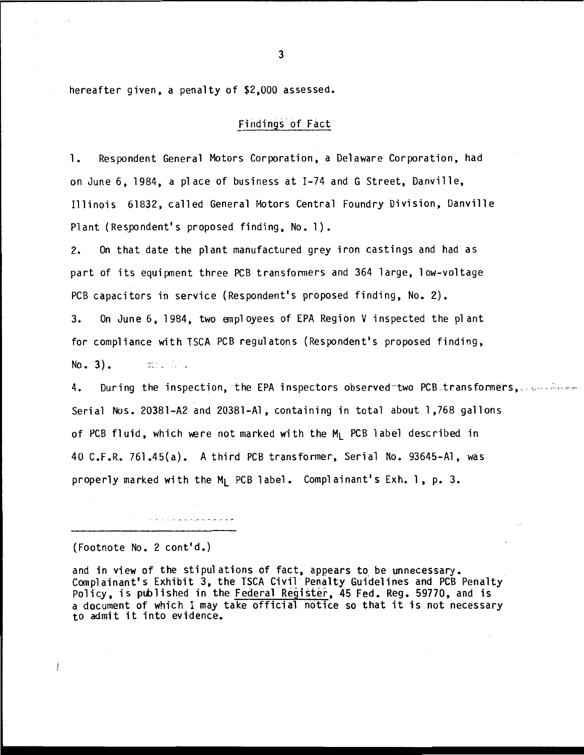hereafter given, a penalty of \$2,000 assessed.

## Findings of Fact

1. Respondent General Motors Corporation, a Delaware Corporation, had on June 6, 1984, a place of business at 1-74 and G Street, Danville, Illinois 61832, called General Hotors Central Foundry Division, Danville Plant (Respondent's proposed finding, No.1).

2. On that date the plant manufactured grey iron castings and had as part of its equipment three PCB transfonners and 364 1 arge, 1 ow-voltage PCB capacitors in service (Respondent's proposed finding, No.2). 3. On June 6, 1984, two anpl oyees of EPA Region V inspected the plant for compliance with TSCA PCB regulatons (Respondent's proposed finding,  $No. 3$ .  $\frac{22}{22}$  ,  $\frac{1}{2}$  ,  $\frac{1}{2}$ 

4. During the inspection, the EPA inspectors observed two PCB transformers, we have Serial Nos. 20381-A2 and 20381-Al, containing in total about 1,768 gallons of PCB fluid, which were not marked with the M<sub>I</sub> PCB label described in 40 C.F.R. 761.45(a). A third PCB transformer, Serial No. 93645-Al, was properly marked with the M<sub>1</sub> PCB label. Complainant's Exh. 1, p. 3.

(Footnote No. 2 cont'd.)

Ì

والمتحر مراساته وتعريب ومنهوره الرابان المارور

and in view of the stipulations of fact, appears to be unnecessary. Complainant's Exhibit 3, the TSCA Civil Penalty Guidelines and PCB Penalty Policy, is published in the Federal Register, 45 Fed. Reg. 59770, and is a document of which I may take official notice so that it is not necessary to admit it into evidence.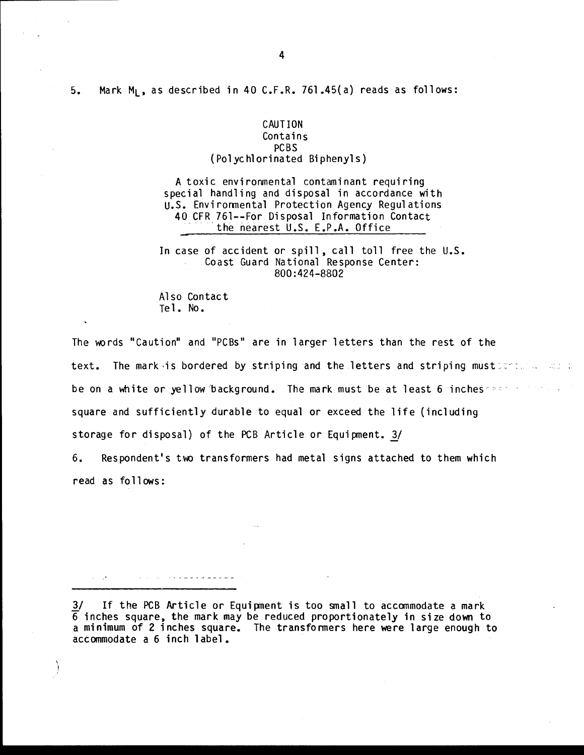## CAUTION **Contains** PCBS (Polychlorinated Biphenyls)

A toxic environmental contaminant requiring special handling and disposal in accordance with u.s. Environmental Protection Agency Regulations 40 CFR 761--For Disposal Information Contact<br>the nearest U.S. E.P.A. Office

In case of accident or spill, call toll free the U.S. Coast Guard National Response Center: 800:424-8802

Also Contact Te 1. No.

I I **San Stern Stern** 

The words "Caution" and "PCBs" are in larger letters than the rest of the text. The mark is bordered by striping and the letters and striping must for the set all be on a white or yellow background. The mark must be at least 6 incheses and the later square and sufficiently durable to equal or exceed the life (including storage for disposal) of the PCB Article or Equipment.  $3/$ 

6. Respondent's two transformers had metal signs attached to them which read as fo 11 ows:

3/ If the PCB Article or Equipment is too small to accommodate a mark 6 inches square, the mark may be reduced proportionately in size down to a minimum of 2 inches square. The transformers here were large enough to accommodate a 6 inch label.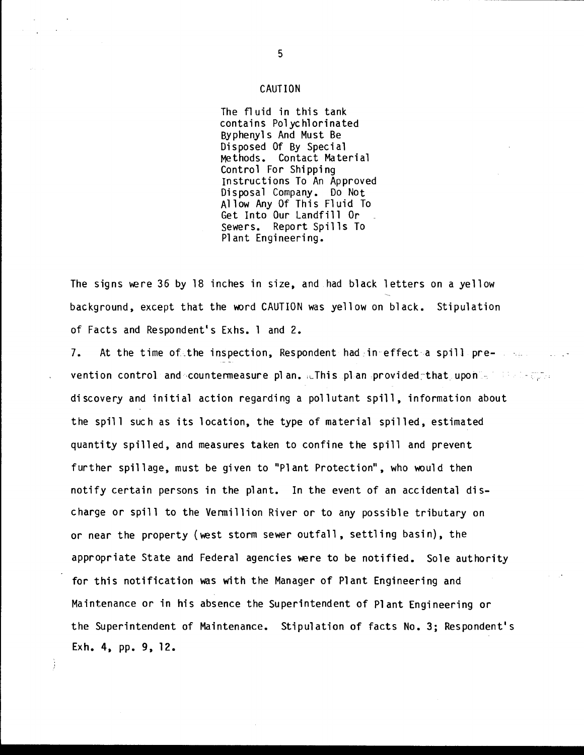#### CAUTION

The fluid in this tank contains Polychlorinated By phenyl s And Must Be Disposed Of By Special Methods. Contact Material Control For Shipping Instructions To An Approved Disposal Company. Do Not Allow Any Of This Fluid To Get Into Our Landfill Or sewers. Report Spills To Plant Engineering.

The signs were 36 by 18 inches in size, and had black letters on a yellow background, except that the word CAUTION was yellow on black. Stipulation of Facts and Respondent's Exhs. 1 and 2.

7. At the time of the inspection, Respondent had in effect a spill preventi on control and ·countenneasure plan. ,t-Thi s plan provi ded~that upon - · discovery and initial action regarding a pollutant spill, information about the spill such as its location, the type of material spilled, estimated quantity spilled, and measures taken to confine the spill and prevent further spillage, must be given to "Plant Protection", who would then notify certain persons in the plant. In the event of an accidental discharge or spill to the Vermillion River or to any possible tributary on or near the property (west storm sewer outfall, settling basin), the appropriate State and Federal agencies were to be notified. Sole authority for this notification was with the Manager of Plant Engineering and Maintenance or in his absence the Superintendent of Plant Engineering or the Superintendent of Maintenance. Stipulation of facts No.3; Respondent's Ex h. 4, pp. 9, 12.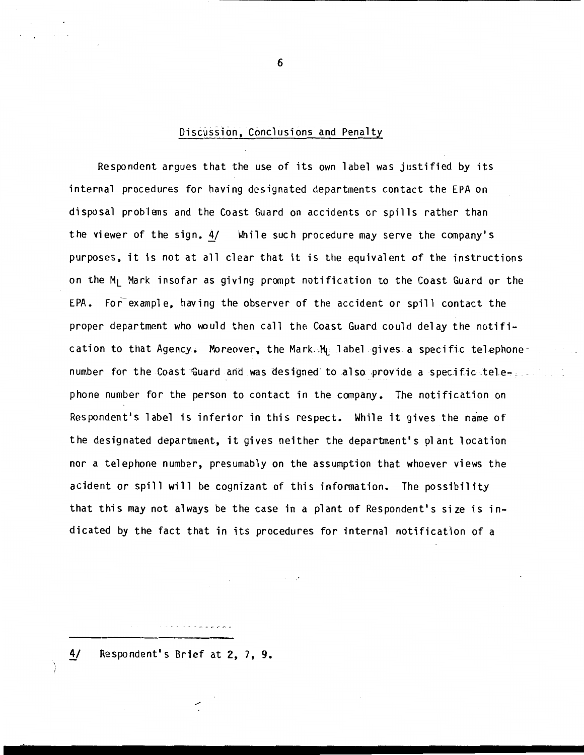# Discussion, Conclusions and Penalty

Respondent argues that the use of its own label was justified by its internal procedures for having designated departments contact the EPA on disposal problems and the Coast Guard on accidents or spills rather than the viewer of the sign. 4/ While such procedure may serve the company's purposes, it is not at all clear that it is the equivalent of the instructions on the M<sub>1</sub> Mark insofar as giving prompt notification to the Coast Guard or the EPA. For example, having the observer of the accident or spill contact the proper department who would then call the Coast Guard could delay the notification to that Agency. Moreover, the Mark.Mt label gives a specific telephone number for the Coast Guard and was designed to also provide a specific telephone number for the person to contact in the company. The notification on Respondent's label is inferior in this respect. While it gives the name of the designated department, it gives neither the department's plant location nor a telephone number, presumably on the assumption that whoever views the acident or spill will be cognizant of this information. The possibility that this may not always be the case in a plant of Respondent's size is indicated by the fact that in its procedures for internal notification of a

4/ Respondent's Brief at 2, 7, 9.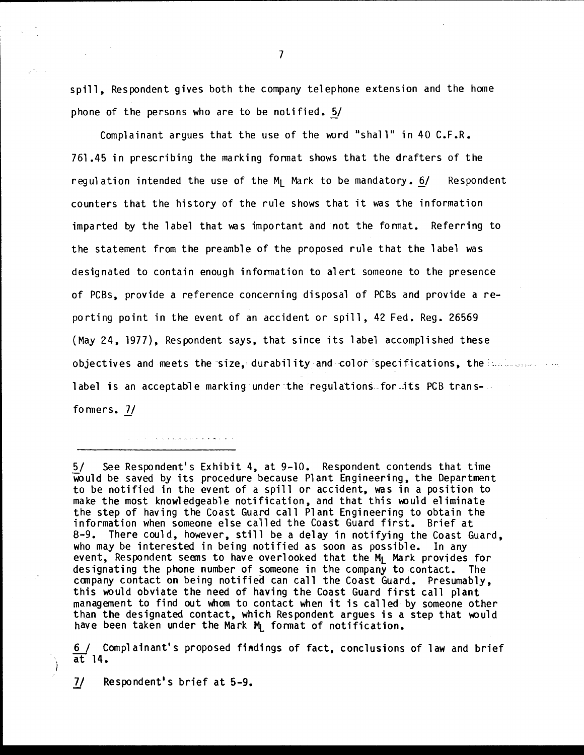spill, Respondent gives both the company telephone extension and the home phone of the persons who are to be notified. 5/

Complainant argues that the use of the word "shall" in 40  $C.F.R.$ 761.45 in prescribing the marking format shows that the drafters of the regulation intended the use of the  $M_1$  Mark to be mandatory.  $6/$  Respondent counters that the history of the rule shows that it was the information imparted by the label that was important and not the format. Referring to the statement from the preamble of the proposed rule that the 1 abel was designated to contain enough information to alert someone to the presence of PCBs, provide a reference concerning disposal of PCBs and provide a reporting point in the event of an accident or spill, 42 Fed. Reg. 26569 (May 24, 1977), Respondent says, that since its label accomplished these objectives and meets the size, durability and color specifications, the environment of label is an acceptable marking under the regulations for its PCB transformers. 7/

5/ See Respondent's Exhibit 4, at 9-10. Respondent contends that time would be saved by its procedure because Plant Engineering, the Department to be notified in the event of a spill or accident, was in a position to make the most knowledgeable notification, and that this would eliminate the step of having the Coast Guard call Plant Engineering to obtain the information when someone else called the Coast Guard first. Brief at 8-9. There could, however, still be a delay in notifying the Coast Guard, who may be interested in being notified as soon as possible. In any event, Respondent seems to have overlooked that the M<sub>L</sub> Mark provides for designating the phone number of someone in the company to contact. The company contact on being notifiea can call the Coast Guard. Presumably, this would obviate the need of having the Coast Guard first call plant management to find out whom to contact when it is called by someone other than the designated contact, which Respondent argues is a step that would have been taken under the Mark  $M$  format of notification.

6 / Complainant's proposed findings of fact, conclusions of law and brief at 14.

*71* Respondent's brief at 5-9.

.<br>د افراد که افراد به رسانهای مردم به ایران ایران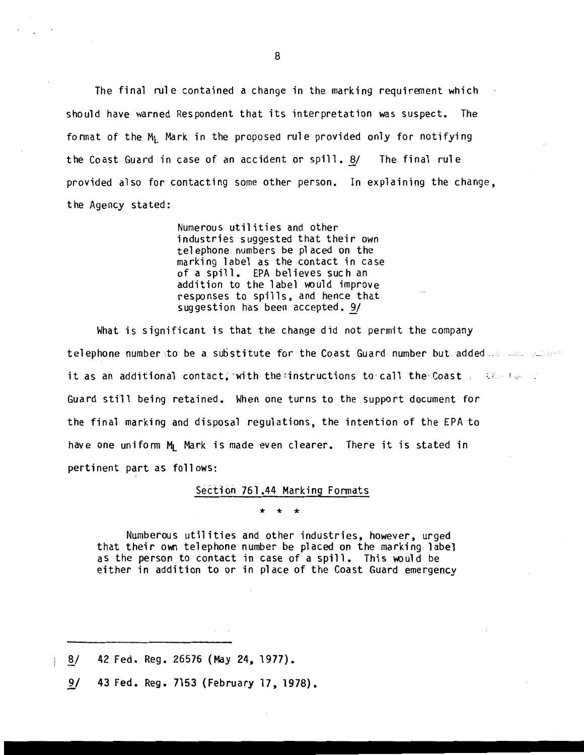The final rule contained a change in the marking requirement which should have warned Respondent that its interpretation was suspect. The format of the  $M_1$  Mark in the proposed rule provided only for notifying the Coast Guard in case of an accident or spill. 8/ The final rule provided also for contacting some other person. In explaining the change, the Agency stated:

> Numerous utilities and other industries suggested that their own telephone numbers be placed on the marking label as the contact in case of a spill. EPA believes such an addition to the label would improve responses to spills, and hence that suggestion has been accepted. 9/

What is significant is that the change did not permit the company telephone number -: to be a substitute for the Coast Guard number but- added-- it as an additional contact; with the instructions to call the Coast  $\mathbb{R}^{n+1}$ Guard still being retained. When one turns to the support document for the final marking and disposal regulations, the intention of the EPA to have one uniform M<sub>1</sub> Mark is made even clearer. There it is stated in pertinent part as follows:

Section 761.44 Marking Formats

\* \* \*

Numberous utilities and other industries, however, urged that their own telephone number be placed on the marking label as the person to contact in case of a spill. This would be either in addition to or in place of the Coast Guard emergency

8/ 42 Fed. Reg. 26576 (May 24, 1977).

9/ 43 Fed. Reg. 7153 (February 17, 1978).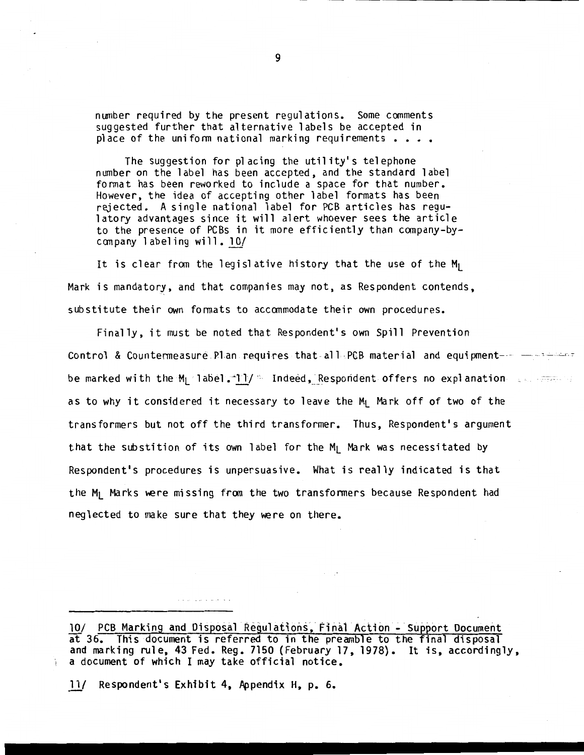number required by the present regulations. Some comments suggested further that alternative labels be accepted in place of the uniform national marking requirements  $\cdots$ 

The suggestion for placing the utility's telephone number on the label has been accepted, and the standard label fonnat has been reworked to include a space for that number. However, the idea of accepting other label formats has been rejected. A single national label for PCB articles has regulatory advantages since it will alert whoever sees the article to the presence of PCBs in it more efficiently than company-bycanpany 1 abel ing will. *lQ!* 

It is clear from the legislative history that the use of the  $M_1$ Mark is mandatory, and that companies may not, as Respondent contends, substitute their own fonnats to accommodate their own procedures.

Finally, it must be noted that Respondent's own Spill Prevention Control & Countermeasure Plan requires that all PCB material and equipment- $\cdots$  -----be marked with the M<sub>L</sub> label. $-11/$  " Indeed, Respondent offers no explanation  $\Box$ as to why it considered it necessary to leave the M<sub>I</sub> Mark off of two of the transformers but not off the third transformer. Thus, Respondent's argument that the substition of its own label for the  $M_1$  Mark was necessitated by Respondent's procedures is unpersuasive. What is really indicated is that the  $M_1$  Marks were missing from the two transformers because Respondent had neglected to make sure that they were on there.

10/ PCB Marking and Disposal Regulations, Final Action - Support Document at 36. This document is referred to in the preamble to the final disposal and marking rule, 43 Fed. Reg. 7150 (February 17, 1978). It is, accordingly, a document of which I may take official notice.

*11J* Respondent's Exhibit 4, Appendix H, p. 6.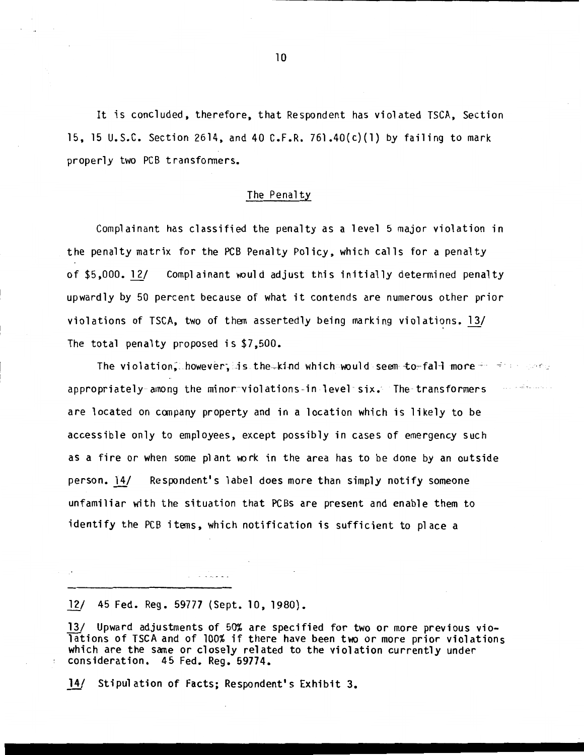It is concluded, therefore, that Respondent has violated TSCA, Section 15, 15 u.s.c. Section 2614, and 40 C.F.R. 761 .40(c)(l) by failing to mark properly two PCB transfonners.

#### The Penalty

Complainant has classified the penalty as a level 5 major violation in the penalty matrix for the PCB Penalty Policy, which calls for a penalty of \$5,000. 12/ Complainant would adjust this initially determined penalty upwardly by 50 percent because of what it contends are numerous other prior violations of TSCA, two of them assertedly being marking violations. *l1f*  The total penalty proposed is \$7,500.

The violation, however, is the kind which would seem to faH more  $+$   $+$   $+$  ,  $+$   $+$   $+$ appropriately among the minor-violations -in -level · six.- The transformers are located on company property and in a location which is likely to be accessible only to employees, except possibly in cases of emergency such as a fire or when some plant work in the area has to be done by an outside person. 14/ Respondent's label does more than simply notify someone unfamiliar with the situation that PCBs are present and enable them to identify the PCB items, which notification is sufficient to place a

## 12/ 45 Fed. Reg. 59777 (Sept. 10, 1980).

الاستقبال المنابذ

13/ Upward adjustments of 50% are specified for two or more previous violations of TSCA and of 100% if there have been two or more prior violations which are the same or closely related to the violation currently under consideration. 45 Fed. Reg. 59774 •

14/ Stipulation of Facts; Respondent's Exhibit 3.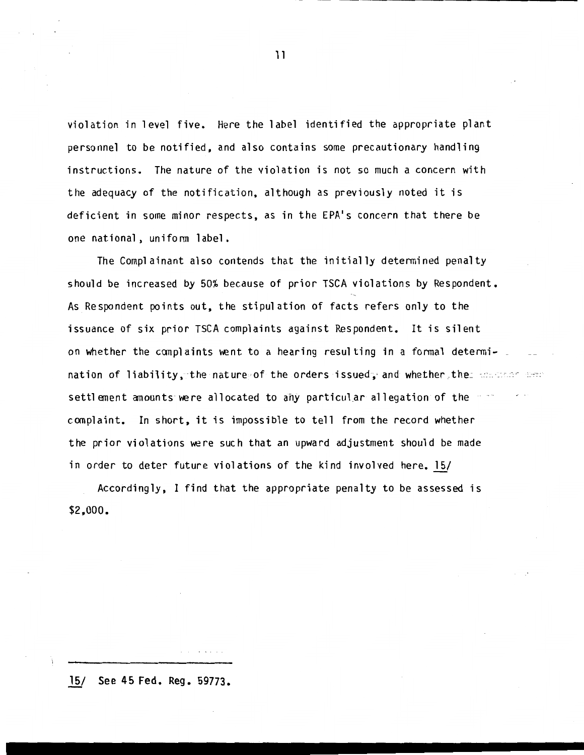violation in level five. Here the label identified the appropriate plant personnel to be notified, and also contains some precautionary handling instructions. The nature of the violation is not so much a concern with the adequacy of the notification, although as previously noted it is deficient in some minor respects, as in the EPA's concern that there be one national, unifonn label.

The Complainant also contends that the initially determined penalty should be increased by 50% because of prior TSCA violations by Respondent. As Respondent points out, the stipulation of facts refers only to the issuance of six prior TSCA complaints against Respondent. It is silent on whether the complaints went to a hearing resulting in a formal determi-  $\overline{\phantom{a}}$ nation of liability, the nature of the orders issued, and whether the concern and settlement anounts were allocated to any particular allegation of the  $\sim$ complaint. In short, it is impossible to tell from the record whether the prior violations were such that an upward adjustment should be made in order to deter future violations of the kind involved here. 15/

Accordingly, I find that the appropriate penalty to be assessed is \$2,000.

15/ See 45 Fed. Reg. 59773.